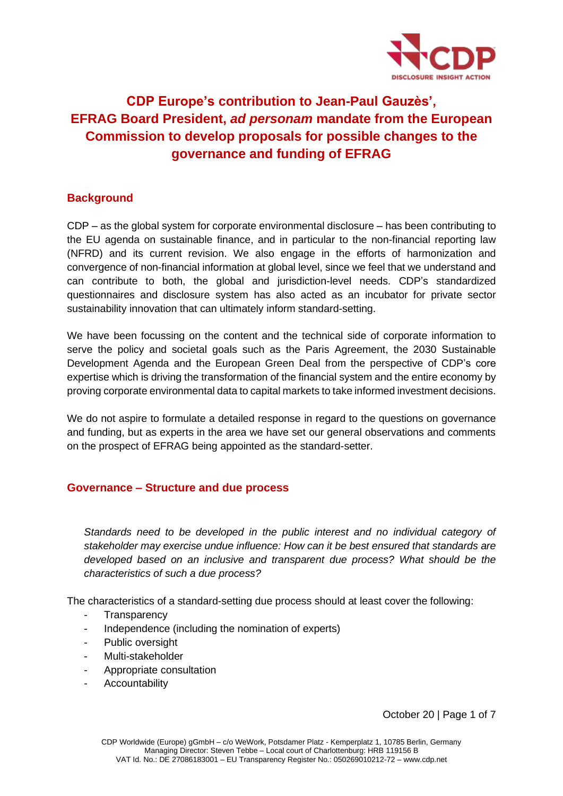

# **CDP Europe's contribution to Jean-Paul Gauzès', EFRAG Board President,** *ad personam* **mandate from the European Commission to develop proposals for possible changes to the governance and funding of EFRAG**

## **Background**

CDP – as the global system for corporate environmental disclosure – has been contributing to the EU agenda on sustainable finance, and in particular to the non-financial reporting law (NFRD) and its current revision. We also engage in the efforts of harmonization and convergence of non-financial information at global level, since we feel that we understand and can contribute to both, the global and jurisdiction-level needs. CDP's standardized questionnaires and disclosure system has also acted as an incubator for private sector sustainability innovation that can ultimately inform standard-setting.

We have been focussing on the content and the technical side of corporate information to serve the policy and societal goals such as the Paris Agreement, the 2030 Sustainable Development Agenda and the European Green Deal from the perspective of CDP's core expertise which is driving the transformation of the financial system and the entire economy by proving corporate environmental data to capital markets to take informed investment decisions.

We do not aspire to formulate a detailed response in regard to the questions on governance and funding, but as experts in the area we have set our general observations and comments on the prospect of EFRAG being appointed as the standard-setter.

## **Governance – Structure and due process**

*Standards need to be developed in the public interest and no individual category of stakeholder may exercise undue influence: How can it be best ensured that standards are developed based on an inclusive and transparent due process? What should be the characteristics of such a due process?*

The characteristics of a standard-setting due process should at least cover the following:

- **Transparency**
- Independence (including the nomination of experts)
- Public oversight
- Multi-stakeholder
- Appropriate consultation
- **Accountability**

October 20 | Page 1 of 7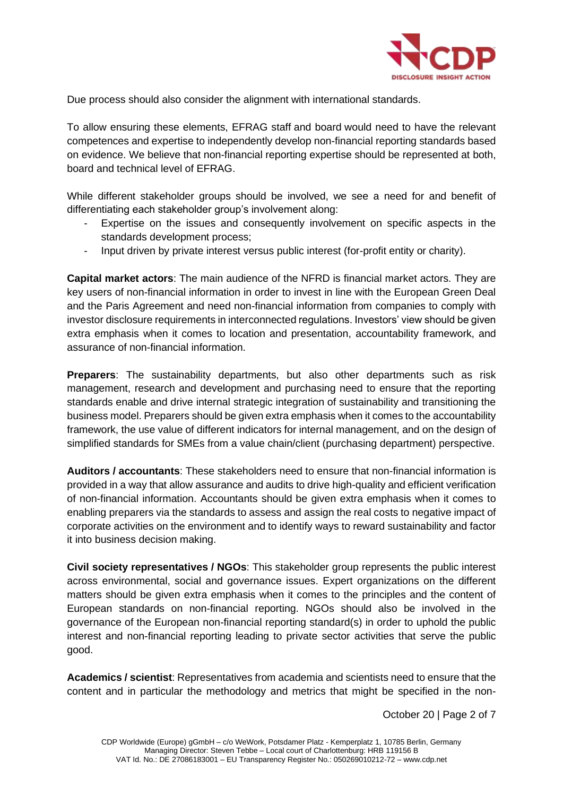

Due process should also consider the alignment with international standards.

To allow ensuring these elements, EFRAG staff and board would need to have the relevant competences and expertise to independently develop non-financial reporting standards based on evidence. We believe that non-financial reporting expertise should be represented at both, board and technical level of EFRAG.

While different stakeholder groups should be involved, we see a need for and benefit of differentiating each stakeholder group's involvement along:

- Expertise on the issues and consequently involvement on specific aspects in the standards development process;
- Input driven by private interest versus public interest (for-profit entity or charity).

**Capital market actors**: The main audience of the NFRD is financial market actors. They are key users of non-financial information in order to invest in line with the European Green Deal and the Paris Agreement and need non-financial information from companies to comply with investor disclosure requirements in interconnected regulations. Investors' view should be given extra emphasis when it comes to location and presentation, accountability framework, and assurance of non-financial information.

**Preparers**: The sustainability departments, but also other departments such as risk management, research and development and purchasing need to ensure that the reporting standards enable and drive internal strategic integration of sustainability and transitioning the business model. Preparers should be given extra emphasis when it comes to the accountability framework, the use value of different indicators for internal management, and on the design of simplified standards for SMEs from a value chain/client (purchasing department) perspective.

**Auditors / accountants**: These stakeholders need to ensure that non-financial information is provided in a way that allow assurance and audits to drive high-quality and efficient verification of non-financial information. Accountants should be given extra emphasis when it comes to enabling preparers via the standards to assess and assign the real costs to negative impact of corporate activities on the environment and to identify ways to reward sustainability and factor it into business decision making.

**Civil society representatives / NGOs**: This stakeholder group represents the public interest across environmental, social and governance issues. Expert organizations on the different matters should be given extra emphasis when it comes to the principles and the content of European standards on non-financial reporting. NGOs should also be involved in the governance of the European non-financial reporting standard(s) in order to uphold the public interest and non-financial reporting leading to private sector activities that serve the public good.

**Academics / scientist**: Representatives from academia and scientists need to ensure that the content and in particular the methodology and metrics that might be specified in the non-

October 20 | Page 2 of 7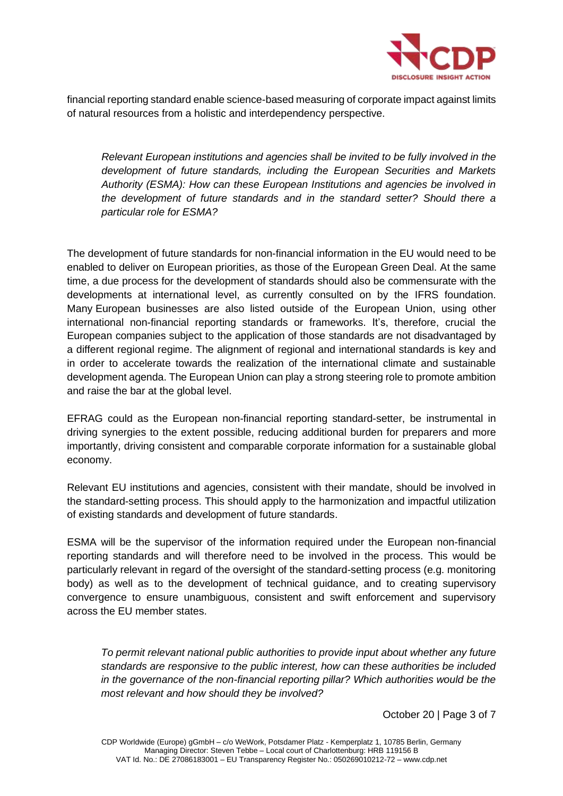

financial reporting standard enable science-based measuring of corporate impact against limits of natural resources from a holistic and interdependency perspective.

*Relevant European institutions and agencies shall be invited to be fully involved in the development of future standards, including the European Securities and Markets Authority (ESMA): How can these European Institutions and agencies be involved in the development of future standards and in the standard setter? Should there a particular role for ESMA?*

The development of future standards for non-financial information in the EU would need to be enabled to deliver on European priorities, as those of the European Green Deal. At the same time, a due process for the development of standards should also be commensurate with the developments at international level, as currently consulted on by the IFRS foundation. Many European businesses are also listed outside of the European Union, using other international non-financial reporting standards or frameworks. It's, therefore, crucial the European companies subject to the application of those standards are not disadvantaged by a different regional regime. The alignment of regional and international standards is key and in order to accelerate towards the realization of the international climate and sustainable development agenda. The European Union can play a strong steering role to promote ambition and raise the bar at the global level.

EFRAG could as the European non-financial reporting standard-setter, be instrumental in driving synergies to the extent possible, reducing additional burden for preparers and more importantly, driving consistent and comparable corporate information for a sustainable global economy.

Relevant EU institutions and agencies, consistent with their mandate, should be involved in the standard-setting process. This should apply to the harmonization and impactful utilization of existing standards and development of future standards.

ESMA will be the supervisor of the information required under the European non-financial reporting standards and will therefore need to be involved in the process. This would be particularly relevant in regard of the oversight of the standard-setting process (e.g. monitoring body) as well as to the development of technical guidance, and to creating supervisory convergence to ensure unambiguous, consistent and swift enforcement and supervisory across the EU member states.

*To permit relevant national public authorities to provide input about whether any future standards are responsive to the public interest, how can these authorities be included in the governance of the non-financial reporting pillar? Which authorities would be the most relevant and how should they be involved?*

October 20 | Page 3 of 7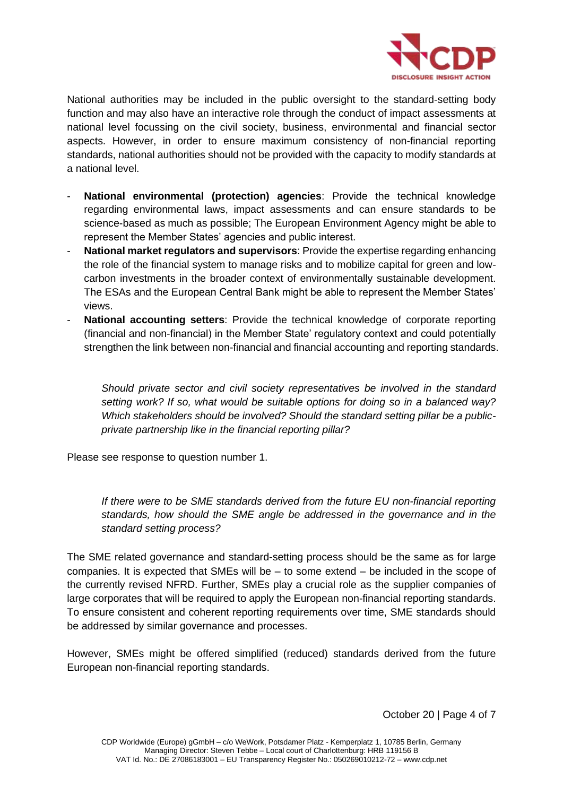

National authorities may be included in the public oversight to the standard-setting body function and may also have an interactive role through the conduct of impact assessments at national level focussing on the civil society, business, environmental and financial sector aspects. However, in order to ensure maximum consistency of non-financial reporting standards, national authorities should not be provided with the capacity to modify standards at a national level.

- **National environmental (protection) agencies**: Provide the technical knowledge regarding environmental laws, impact assessments and can ensure standards to be science-based as much as possible; The European Environment Agency might be able to represent the Member States' agencies and public interest.
- **National market regulators and supervisors**: Provide the expertise regarding enhancing the role of the financial system to manage risks and to mobilize capital for green and lowcarbon investments in the broader context of environmentally sustainable development. The ESAs and the European Central Bank might be able to represent the Member States' views.
- **National accounting setters**: Provide the technical knowledge of corporate reporting (financial and non-financial) in the Member State' regulatory context and could potentially strengthen the link between non-financial and financial accounting and reporting standards.

*Should private sector and civil society representatives be involved in the standard setting work? If so, what would be suitable options for doing so in a balanced way? Which stakeholders should be involved? Should the standard setting pillar be a publicprivate partnership like in the financial reporting pillar?*

Please see response to question number 1.

*If there were to be SME standards derived from the future EU non-financial reporting standards, how should the SME angle be addressed in the governance and in the standard setting process?*

The SME related governance and standard-setting process should be the same as for large companies. It is expected that SMEs will be – to some extend – be included in the scope of the currently revised NFRD. Further, SMEs play a crucial role as the supplier companies of large corporates that will be required to apply the European non-financial reporting standards. To ensure consistent and coherent reporting requirements over time, SME standards should be addressed by similar governance and processes.

However, SMEs might be offered simplified (reduced) standards derived from the future European non-financial reporting standards.

October 20 | Page 4 of 7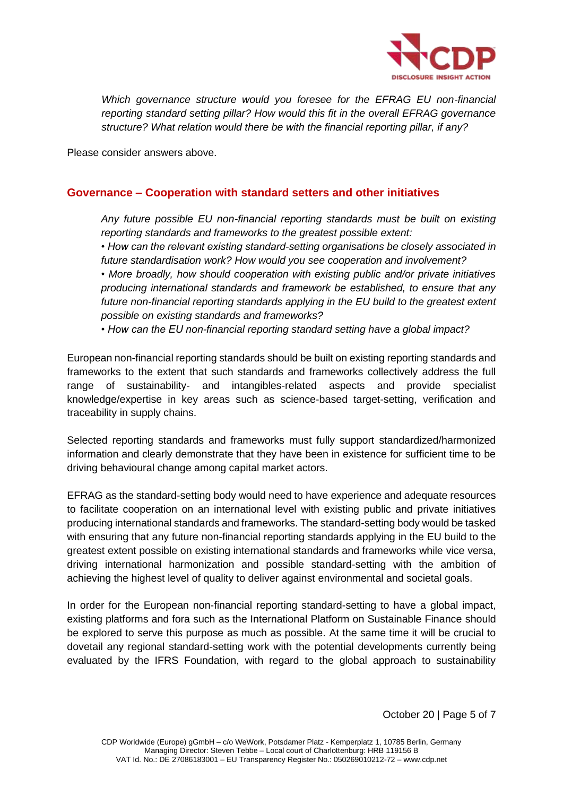

*Which governance structure would you foresee for the EFRAG EU non-financial reporting standard setting pillar? How would this fit in the overall EFRAG governance structure? What relation would there be with the financial reporting pillar, if any?*

Please consider answers above.

## **Governance – Cooperation with standard setters and other initiatives**

*Any future possible EU non-financial reporting standards must be built on existing reporting standards and frameworks to the greatest possible extent:*

*• How can the relevant existing standard-setting organisations be closely associated in future standardisation work? How would you see cooperation and involvement?*

*• More broadly, how should cooperation with existing public and/or private initiatives producing international standards and framework be established, to ensure that any future non-financial reporting standards applying in the EU build to the greatest extent possible on existing standards and frameworks?*

*• How can the EU non-financial reporting standard setting have a global impact?*

European non-financial reporting standards should be built on existing reporting standards and frameworks to the extent that such standards and frameworks collectively address the full range of sustainability- and intangibles-related aspects and provide specialist knowledge/expertise in key areas such as science-based target-setting, verification and traceability in supply chains.

Selected reporting standards and frameworks must fully support standardized/harmonized information and clearly demonstrate that they have been in existence for sufficient time to be driving behavioural change among capital market actors.

EFRAG as the standard-setting body would need to have experience and adequate resources to facilitate cooperation on an international level with existing public and private initiatives producing international standards and frameworks. The standard-setting body would be tasked with ensuring that any future non-financial reporting standards applying in the EU build to the greatest extent possible on existing international standards and frameworks while vice versa, driving international harmonization and possible standard-setting with the ambition of achieving the highest level of quality to deliver against environmental and societal goals.

In order for the European non-financial reporting standard-setting to have a global impact, existing platforms and fora such as the International Platform on Sustainable Finance should be explored to serve this purpose as much as possible. At the same time it will be crucial to dovetail any regional standard-setting work with the potential developments currently being evaluated by the IFRS Foundation, with regard to the global approach to sustainability

October 20 | Page 5 of 7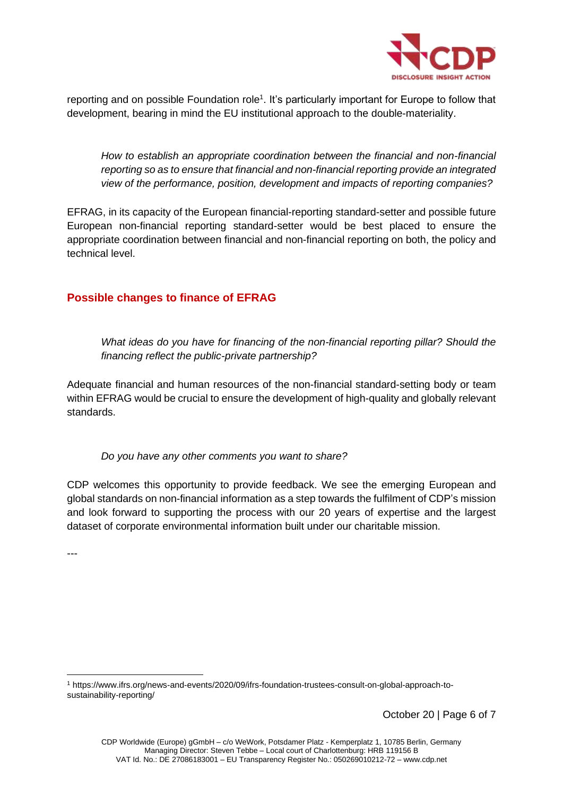

reporting and on possible Foundation role<sup>1</sup>. It's particularly important for Europe to follow that development, bearing in mind the EU institutional approach to the double-materiality.

*How to establish an appropriate coordination between the financial and non-financial reporting so as to ensure that financial and non-financial reporting provide an integrated view of the performance, position, development and impacts of reporting companies?*

EFRAG, in its capacity of the European financial-reporting standard-setter and possible future European non-financial reporting standard-setter would be best placed to ensure the appropriate coordination between financial and non-financial reporting on both, the policy and technical level.

## **Possible changes to finance of EFRAG**

*What ideas do you have for financing of the non-financial reporting pillar? Should the financing reflect the public-private partnership?*

Adequate financial and human resources of the non-financial standard-setting body or team within EFRAG would be crucial to ensure the development of high-quality and globally relevant standards.

*Do you have any other comments you want to share?*

CDP welcomes this opportunity to provide feedback. We see the emerging European and global standards on non-financial information as a step towards the fulfilment of CDP's mission and look forward to supporting the process with our 20 years of expertise and the largest dataset of corporate environmental information built under our charitable mission.

---

October 20 | Page 6 of 7

<sup>1</sup> https://www.ifrs.org/news-and-events/2020/09/ifrs-foundation-trustees-consult-on-global-approach-tosustainability-reporting/